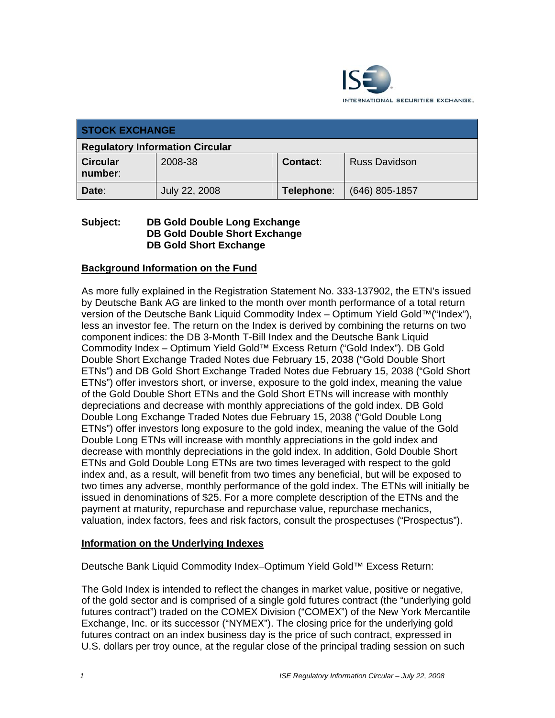

| <b>STOCK EXCHANGE</b>                  |               |            |                      |  |  |  |
|----------------------------------------|---------------|------------|----------------------|--|--|--|
| <b>Regulatory Information Circular</b> |               |            |                      |  |  |  |
| <b>Circular</b><br>number:             | 2008-38       | Contact:   | <b>Russ Davidson</b> |  |  |  |
| Date:                                  | July 22, 2008 | Telephone: | $(646)$ 805-1857     |  |  |  |

### **Subject: DB Gold Double Long Exchange DB Gold Double Short Exchange DB Gold Short Exchange**

# **Background Information on the Fund**

As more fully explained in the Registration Statement No. 333-137902, the ETN's issued by Deutsche Bank AG are linked to the month over month performance of a total return version of the Deutsche Bank Liquid Commodity Index – Optimum Yield Gold™("Index"), less an investor fee. The return on the Index is derived by combining the returns on two component indices: the DB 3-Month T-Bill Index and the Deutsche Bank Liquid Commodity Index – Optimum Yield Gold™ Excess Return ("Gold Index"). DB Gold Double Short Exchange Traded Notes due February 15, 2038 ("Gold Double Short ETNs") and DB Gold Short Exchange Traded Notes due February 15, 2038 ("Gold Short ETNs") offer investors short, or inverse, exposure to the gold index, meaning the value of the Gold Double Short ETNs and the Gold Short ETNs will increase with monthly depreciations and decrease with monthly appreciations of the gold index. DB Gold Double Long Exchange Traded Notes due February 15, 2038 ("Gold Double Long ETNs") offer investors long exposure to the gold index, meaning the value of the Gold Double Long ETNs will increase with monthly appreciations in the gold index and decrease with monthly depreciations in the gold index. In addition, Gold Double Short ETNs and Gold Double Long ETNs are two times leveraged with respect to the gold index and, as a result, will benefit from two times any beneficial, but will be exposed to two times any adverse, monthly performance of the gold index. The ETNs will initially be issued in denominations of \$25. For a more complete description of the ETNs and the payment at maturity, repurchase and repurchase value, repurchase mechanics, valuation, index factors, fees and risk factors, consult the prospectuses ("Prospectus").

### **Information on the Underlying Indexes**

Deutsche Bank Liquid Commodity Index–Optimum Yield Gold™ Excess Return:

The Gold Index is intended to reflect the changes in market value, positive or negative, of the gold sector and is comprised of a single gold futures contract (the "underlying gold futures contract") traded on the COMEX Division ("COMEX") of the New York Mercantile Exchange, Inc. or its successor ("NYMEX"). The closing price for the underlying gold futures contract on an index business day is the price of such contract, expressed in U.S. dollars per troy ounce, at the regular close of the principal trading session on such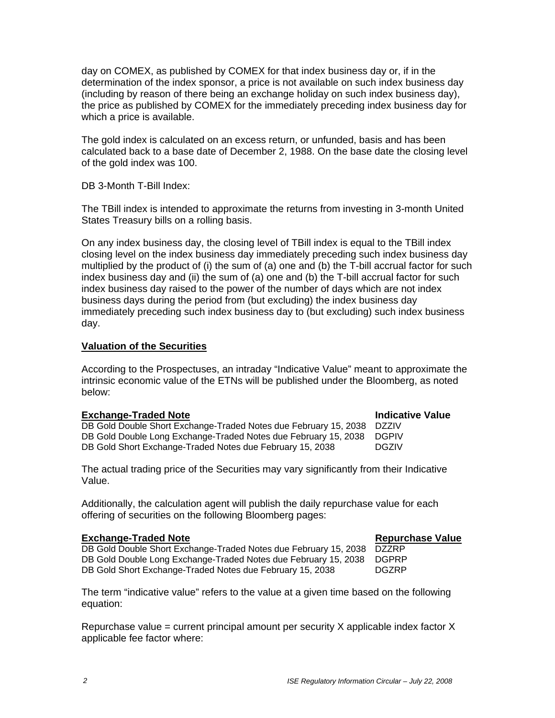day on COMEX, as published by COMEX for that index business day or, if in the determination of the index sponsor, a price is not available on such index business day (including by reason of there being an exchange holiday on such index business day), the price as published by COMEX for the immediately preceding index business day for which a price is available.

The gold index is calculated on an excess return, or unfunded, basis and has been calculated back to a base date of December 2, 1988. On the base date the closing level of the gold index was 100.

DB 3-Month T-Bill Index:

The TBill index is intended to approximate the returns from investing in 3-month United States Treasury bills on a rolling basis.

On any index business day, the closing level of TBill index is equal to the TBill index closing level on the index business day immediately preceding such index business day multiplied by the product of (i) the sum of (a) one and (b) the T-bill accrual factor for such index business day and (ii) the sum of (a) one and (b) the T-bill accrual factor for such index business day raised to the power of the number of days which are not index business days during the period from (but excluding) the index business day immediately preceding such index business day to (but excluding) such index business day.

# **Valuation of the Securities**

According to the Prospectuses, an intraday "Indicative Value" meant to approximate the intrinsic economic value of the ETNs will be published under the Bloomberg, as noted below:

#### **Exchange-Traded Note Indicative Value Indicative Value** DB Gold Double Short Exchange-Traded Notes due February 15, 2038 DZZIV DB Gold Double Long Exchange-Traded Notes due February 15, 2038 DGPIV DB Gold Short Exchange-Traded Notes due February 15, 2038 DGZIV

The actual trading price of the Securities may vary significantly from their Indicative Value.

Additionally, the calculation agent will publish the daily repurchase value for each offering of securities on the following Bloomberg pages:

# **Exchange-Traded Note Repurchase Value**

DB Gold Double Short Exchange-Traded Notes due February 15, 2038 DZZRP DB Gold Double Long Exchange-Traded Notes due February 15, 2038 DGPRP DB Gold Short Exchange-Traded Notes due February 15, 2038 DGZRP

The term "indicative value" refers to the value at a given time based on the following equation:

Repurchase value = current principal amount per security  $X$  applicable index factor  $X$ applicable fee factor where: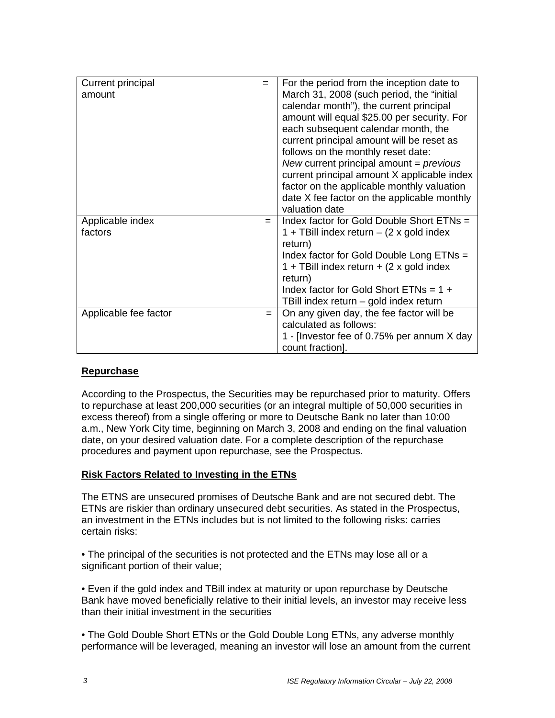| Current principal<br>$=$     |     | For the period from the inception date to       |  |
|------------------------------|-----|-------------------------------------------------|--|
| amount                       |     | March 31, 2008 (such period, the "initial"      |  |
|                              |     | calendar month"), the current principal         |  |
|                              |     | amount will equal \$25.00 per security. For     |  |
|                              |     | each subsequent calendar month, the             |  |
|                              |     | current principal amount will be reset as       |  |
|                              |     | follows on the monthly reset date:              |  |
|                              |     | New current principal amount = $previous$       |  |
|                              |     | current principal amount X applicable index     |  |
|                              |     | factor on the applicable monthly valuation      |  |
|                              |     | date X fee factor on the applicable monthly     |  |
|                              |     | valuation date                                  |  |
| Applicable index             | $=$ | Index factor for Gold Double Short ETNs =       |  |
| factors                      |     | 1 + TBill index return $-$ (2 x gold index      |  |
|                              |     | return)                                         |  |
|                              |     | Index factor for Gold Double Long ETNs =        |  |
|                              |     | 1 + TBill index return + $(2 \times$ gold index |  |
|                              |     | return)                                         |  |
|                              |     | Index factor for Gold Short ETNs = $1 +$        |  |
|                              |     | TBill index return – gold index return          |  |
| Applicable fee factor<br>$=$ |     | On any given day, the fee factor will be        |  |
|                              |     | calculated as follows:                          |  |
|                              |     | 1 - Investor fee of 0.75% per annum X day       |  |
|                              |     | count fraction].                                |  |

# **Repurchase**

According to the Prospectus, the Securities may be repurchased prior to maturity. Offers to repurchase at least 200,000 securities (or an integral multiple of 50,000 securities in excess thereof) from a single offering or more to Deutsche Bank no later than 10:00 a.m., New York City time, beginning on March 3, 2008 and ending on the final valuation date, on your desired valuation date. For a complete description of the repurchase procedures and payment upon repurchase, see the Prospectus.

# **Risk Factors Related to Investing in the ETNs**

The ETNS are unsecured promises of Deutsche Bank and are not secured debt. The ETNs are riskier than ordinary unsecured debt securities. As stated in the Prospectus, an investment in the ETNs includes but is not limited to the following risks: carries certain risks:

• The principal of the securities is not protected and the ETNs may lose all or a significant portion of their value;

• Even if the gold index and TBill index at maturity or upon repurchase by Deutsche Bank have moved beneficially relative to their initial levels, an investor may receive less than their initial investment in the securities

• The Gold Double Short ETNs or the Gold Double Long ETNs, any adverse monthly performance will be leveraged, meaning an investor will lose an amount from the current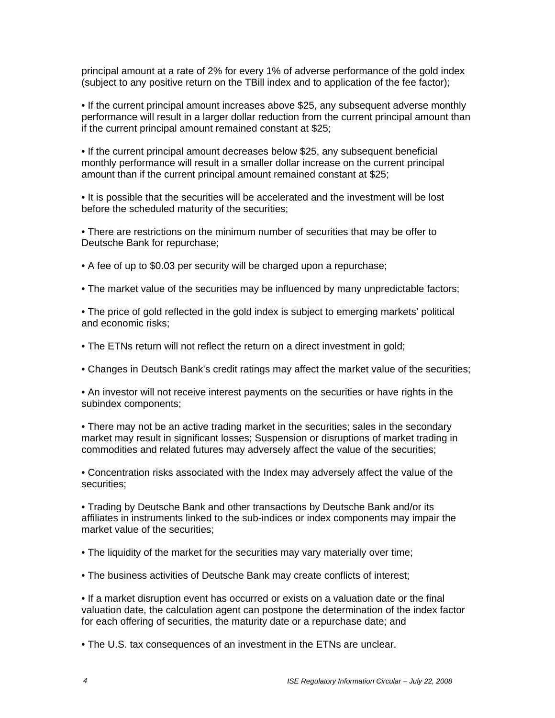principal amount at a rate of 2% for every 1% of adverse performance of the gold index (subject to any positive return on the TBill index and to application of the fee factor);

• If the current principal amount increases above \$25, any subsequent adverse monthly performance will result in a larger dollar reduction from the current principal amount than if the current principal amount remained constant at \$25;

• If the current principal amount decreases below \$25, any subsequent beneficial monthly performance will result in a smaller dollar increase on the current principal amount than if the current principal amount remained constant at \$25;

• It is possible that the securities will be accelerated and the investment will be lost before the scheduled maturity of the securities;

• There are restrictions on the minimum number of securities that may be offer to Deutsche Bank for repurchase;

• A fee of up to \$0.03 per security will be charged upon a repurchase;

• The market value of the securities may be influenced by many unpredictable factors;

• The price of gold reflected in the gold index is subject to emerging markets' political and economic risks;

• The ETNs return will not reflect the return on a direct investment in gold;

• Changes in Deutsch Bank's credit ratings may affect the market value of the securities;

• An investor will not receive interest payments on the securities or have rights in the subindex components;

• There may not be an active trading market in the securities; sales in the secondary market may result in significant losses; Suspension or disruptions of market trading in commodities and related futures may adversely affect the value of the securities;

• Concentration risks associated with the Index may adversely affect the value of the securities;

• Trading by Deutsche Bank and other transactions by Deutsche Bank and/or its affiliates in instruments linked to the sub-indices or index components may impair the market value of the securities;

• The liquidity of the market for the securities may vary materially over time;

• The business activities of Deutsche Bank may create conflicts of interest;

• If a market disruption event has occurred or exists on a valuation date or the final valuation date, the calculation agent can postpone the determination of the index factor for each offering of securities, the maturity date or a repurchase date; and

• The U.S. tax consequences of an investment in the ETNs are unclear.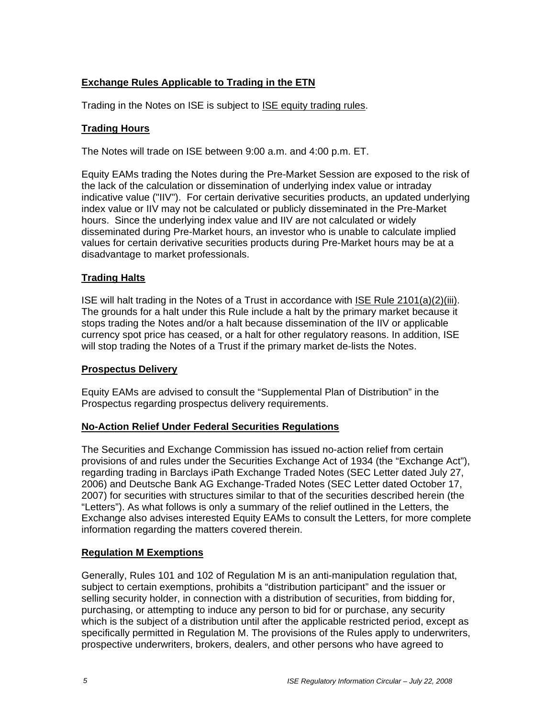# **Exchange Rules Applicable to Trading in the ETN**

Trading in the Notes on ISE is subject to ISE equity trading rules.

# **Trading Hours**

The Notes will trade on ISE between 9:00 a.m. and 4:00 p.m. ET.

Equity EAMs trading the Notes during the Pre-Market Session are exposed to the risk of the lack of the calculation or dissemination of underlying index value or intraday indicative value ("IIV"). For certain derivative securities products, an updated underlying index value or IIV may not be calculated or publicly disseminated in the Pre-Market hours. Since the underlying index value and IIV are not calculated or widely disseminated during Pre-Market hours, an investor who is unable to calculate implied values for certain derivative securities products during Pre-Market hours may be at a disadvantage to market professionals.

# **Trading Halts**

ISE will halt trading in the Notes of a Trust in accordance with ISE Rule 2101(a)(2)(iii). The grounds for a halt under this Rule include a halt by the primary market because it stops trading the Notes and/or a halt because dissemination of the IIV or applicable currency spot price has ceased, or a halt for other regulatory reasons. In addition, ISE will stop trading the Notes of a Trust if the primary market de-lists the Notes.

# **Prospectus Delivery**

Equity EAMs are advised to consult the "Supplemental Plan of Distribution" in the Prospectus regarding prospectus delivery requirements.

# **No-Action Relief Under Federal Securities Regulations**

The Securities and Exchange Commission has issued no-action relief from certain provisions of and rules under the Securities Exchange Act of 1934 (the "Exchange Act"), regarding trading in Barclays iPath Exchange Traded Notes (SEC Letter dated July 27, 2006) and Deutsche Bank AG Exchange-Traded Notes (SEC Letter dated October 17, 2007) for securities with structures similar to that of the securities described herein (the "Letters"). As what follows is only a summary of the relief outlined in the Letters, the Exchange also advises interested Equity EAMs to consult the Letters, for more complete information regarding the matters covered therein.

# **Regulation M Exemptions**

Generally, Rules 101 and 102 of Regulation M is an anti-manipulation regulation that, subject to certain exemptions, prohibits a "distribution participant" and the issuer or selling security holder, in connection with a distribution of securities, from bidding for, purchasing, or attempting to induce any person to bid for or purchase, any security which is the subject of a distribution until after the applicable restricted period, except as specifically permitted in Regulation M. The provisions of the Rules apply to underwriters, prospective underwriters, brokers, dealers, and other persons who have agreed to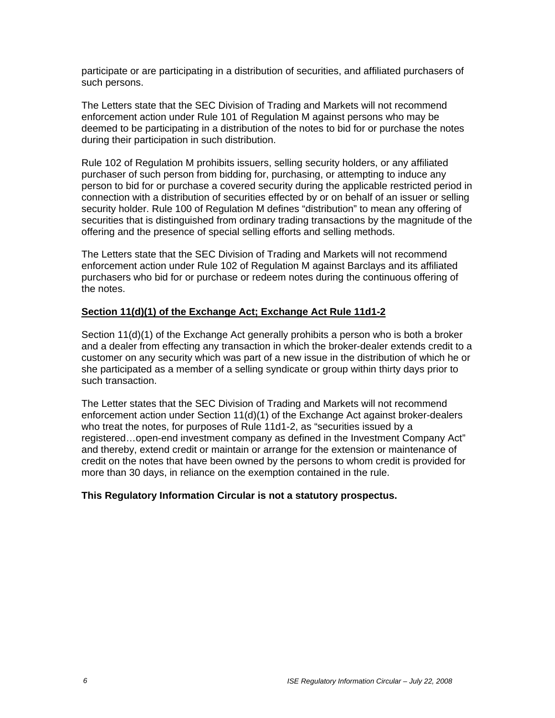participate or are participating in a distribution of securities, and affiliated purchasers of such persons.

The Letters state that the SEC Division of Trading and Markets will not recommend enforcement action under Rule 101 of Regulation M against persons who may be deemed to be participating in a distribution of the notes to bid for or purchase the notes during their participation in such distribution.

Rule 102 of Regulation M prohibits issuers, selling security holders, or any affiliated purchaser of such person from bidding for, purchasing, or attempting to induce any person to bid for or purchase a covered security during the applicable restricted period in connection with a distribution of securities effected by or on behalf of an issuer or selling security holder. Rule 100 of Regulation M defines "distribution" to mean any offering of securities that is distinguished from ordinary trading transactions by the magnitude of the offering and the presence of special selling efforts and selling methods.

The Letters state that the SEC Division of Trading and Markets will not recommend enforcement action under Rule 102 of Regulation M against Barclays and its affiliated purchasers who bid for or purchase or redeem notes during the continuous offering of the notes.

# **Section 11(d)(1) of the Exchange Act; Exchange Act Rule 11d1-2**

Section 11(d)(1) of the Exchange Act generally prohibits a person who is both a broker and a dealer from effecting any transaction in which the broker-dealer extends credit to a customer on any security which was part of a new issue in the distribution of which he or she participated as a member of a selling syndicate or group within thirty days prior to such transaction.

The Letter states that the SEC Division of Trading and Markets will not recommend enforcement action under Section 11(d)(1) of the Exchange Act against broker-dealers who treat the notes, for purposes of Rule 11d1-2, as "securities issued by a registered…open-end investment company as defined in the Investment Company Act" and thereby, extend credit or maintain or arrange for the extension or maintenance of credit on the notes that have been owned by the persons to whom credit is provided for more than 30 days, in reliance on the exemption contained in the rule.

# **This Regulatory Information Circular is not a statutory prospectus.**